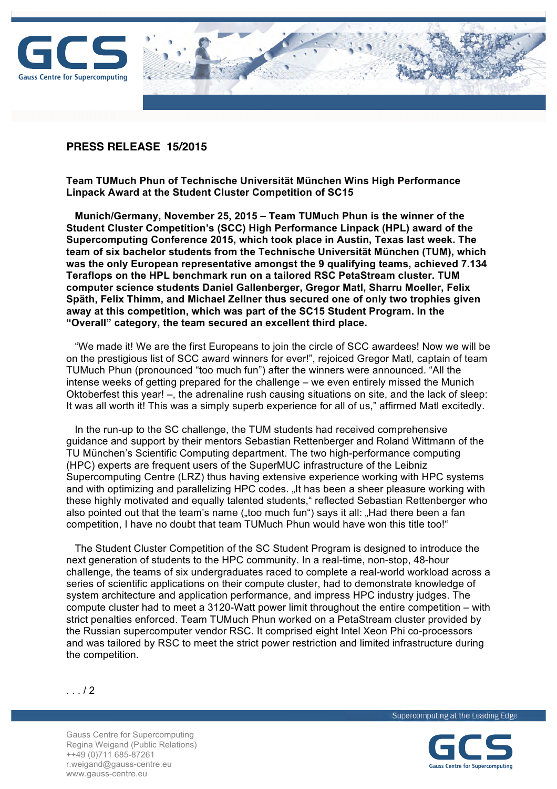



## **PRESS RELEASE 15/2015**

**Team TUMuch Phun of Technische Universität München Wins High Performance Linpack Award at the Student Cluster Competition of SC15**

 **Munich/Germany, November 25, 2015 – Team TUMuch Phun is the winner of the Student Cluster Competition's (SCC) High Performance Linpack (HPL) award of the Supercomputing Conference 2015, which took place in Austin, Texas last week. The team of six bachelor students from the Technische Universität München (TUM), which was the only European representative amongst the 9 qualifying teams, achieved 7.134 Teraflops on the HPL benchmark run on a tailored RSC PetaStream cluster. TUM computer science students Daniel Gallenberger, Gregor Matl, Sharru Moeller, Felix Späth, Felix Thimm, and Michael Zellner thus secured one of only two trophies given away at this competition, which was part of the SC15 Student Program. In the "Overall" category, the team secured an excellent third place.**

 "We made it! We are the first Europeans to join the circle of SCC awardees! Now we will be on the prestigious list of SCC award winners for ever!", rejoiced Gregor Matl, captain of team TUMuch Phun (pronounced "too much fun") after the winners were announced. "All the intense weeks of getting prepared for the challenge – we even entirely missed the Munich Oktoberfest this year! –, the adrenaline rush causing situations on site, and the lack of sleep: It was all worth it! This was a simply superb experience for all of us," affirmed Matl excitedly.

 In the run-up to the SC challenge, the TUM students had received comprehensive guidance and support by their mentors Sebastian Rettenberger and Roland Wittmann of the TU München's Scientific Computing department. The two high-performance computing (HPC) experts are frequent users of the SuperMUC infrastructure of the Leibniz Supercomputing Centre (LRZ) thus having extensive experience working with HPC systems and with optimizing and parallelizing HPC codes. "It has been a sheer pleasure working with these highly motivated and equally talented students," reflected Sebastian Rettenberger who also pointed out that the team's name ("too much fun") says it all: "Had there been a fan competition, I have no doubt that team TUMuch Phun would have won this title too!"

 The Student Cluster Competition of the SC Student Program is designed to introduce the next generation of students to the HPC community. In a real-time, non-stop, 48-hour challenge, the teams of six undergraduates raced to complete a real-world workload across a series of scientific applications on their compute cluster, had to demonstrate knowledge of system architecture and application performance, and impress HPC industry judges. The compute cluster had to meet a 3120-Watt power limit throughout the entire competition – with strict penalties enforced. Team TUMuch Phun worked on a PetaStream cluster provided by the Russian supercomputer vendor RSC. It comprised eight Intel Xeon Phi co-processors and was tailored by RSC to meet the strict power restriction and limited infrastructure during the competition.



. . . / 2

Gauss Centre for Supercomputing Regina Weigand (Public Relations) ++49 (0)711 685-87261 r.weigand@gauss-centre.eu www.gauss-centre.eu

Supercomputing at the Leading Edge